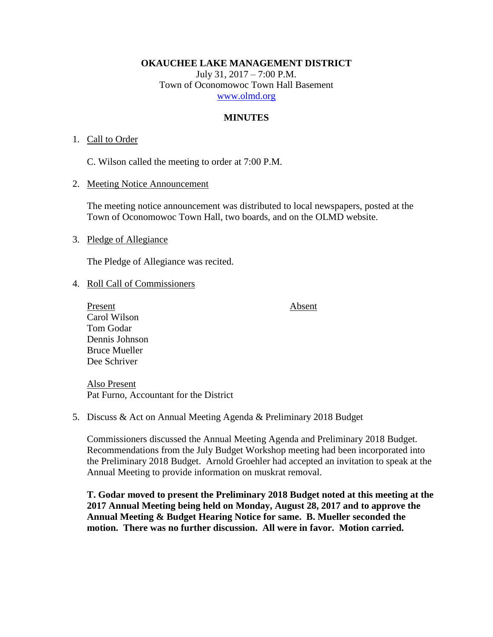**OKAUCHEE LAKE MANAGEMENT DISTRICT**

July 31, 2017 – 7:00 P.M. Town of Oconomowoc Town Hall Basement [www.olmd.org](http://www.olmd.org/)

## **MINUTES**

### 1. Call to Order

C. Wilson called the meeting to order at 7:00 P.M.

2. Meeting Notice Announcement

The meeting notice announcement was distributed to local newspapers, posted at the Town of Oconomowoc Town Hall, two boards, and on the OLMD website.

#### 3. Pledge of Allegiance

The Pledge of Allegiance was recited.

#### 4. Roll Call of Commissioners

Present Absent Carol Wilson Tom Godar Dennis Johnson Bruce Mueller Dee Schriver

Also Present Pat Furno, Accountant for the District

5. Discuss & Act on Annual Meeting Agenda & Preliminary 2018 Budget

Commissioners discussed the Annual Meeting Agenda and Preliminary 2018 Budget. Recommendations from the July Budget Workshop meeting had been incorporated into the Preliminary 2018 Budget. Arnold Groehler had accepted an invitation to speak at the Annual Meeting to provide information on muskrat removal.

**T. Godar moved to present the Preliminary 2018 Budget noted at this meeting at the 2017 Annual Meeting being held on Monday, August 28, 2017 and to approve the Annual Meeting & Budget Hearing Notice for same. B. Mueller seconded the motion. There was no further discussion. All were in favor. Motion carried.**